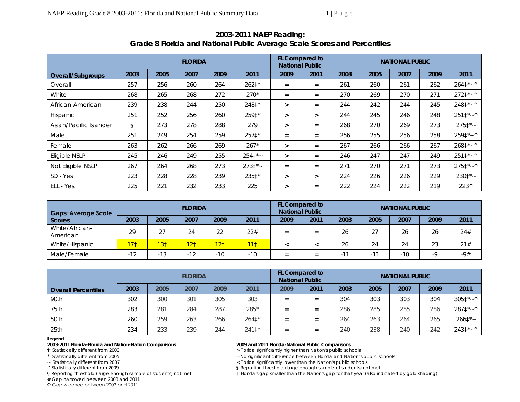|                        | <b>FLORIDA</b> |      |      |      |         | FL Compared to<br><b>National Public</b> |          | <b>NATIONAL PUBLIC</b> |      |      |      |                 |
|------------------------|----------------|------|------|------|---------|------------------------------------------|----------|------------------------|------|------|------|-----------------|
| Overall/Subgroups      | 2003           | 2005 | 2007 | 2009 | 2011    | 2009                                     | 2011     | 2003                   | 2005 | 2007 | 2009 | 2011            |
| Overall                | 257            | 256  | 260  | 264  | 262‡*   | $=$                                      | $=$      | 261                    | 260  | 261  | 262  | $264^{\ast}$ ~^ |
| White                  | 268            | 265  | 268  | 272  | $270*$  | $=$                                      | $=$      | 270                    | 269  | 270  | 271  | $2721*~$        |
| African-American       | 239            | 238  | 244  | 250  | 248‡*   | $\geq$                                   | $=$      | 244                    | 242  | 244  | 245  | $2481*~$        |
| Hispanic               | 251            | 252  | 256  | 260  | 259‡*   | $\geq$                                   | $\geq$   | 244                    | 245  | 246  | 248  | $2511*~$        |
| Asian/Pacific Islander | $\S$           | 273  | 278  | 288  | 279     | $\geq$                                   | $=$      | 268                    | 270  | 269  | 273  | $2751*$         |
| Male                   | 251            | 249  | 254  | 259  | $2571*$ | $=$                                      | $=$      | 256                    | 255  | 256  | 258  | $2591*~$        |
| Female                 | 263            | 262  | 266  | 269  | $267*$  | $\geq$                                   | $=$      | 267                    | 266  | 266  | 267  | $2681*~$        |
| Eligible NSLP          | 245            | 246  | 249  | 255  | $2541*$ | $\geq$                                   | $=$      | 246                    | 247  | 247  | 249  | $2511^{*}$ ~^   |
| Not Eligible NSLP      | 267            | 264  | 268  | 273  | $2731*$ | $=$                                      | $\equiv$ | 271                    | 270  | 271  | 273  | $2751*~$        |
| SD - Yes               | 223            | 228  | 228  | 239  | 235‡*   | $\geq$                                   | $\geq$   | 224                    | 226  | 226  | 229  | $2301*$         |
| ELL - Yes              | 225            | 221  | 232  | 233  | 225     | $\geq$                                   | $=$      | 222                    | 224  | 222  | 219  | $223^{\wedge}$  |

# **2003-2011 NAEP Reading: Grade 8 Florida and National Public Average Scale Scores and Percentiles**

| <b>Gaps-Average Scale</b>  |                    |                 | <b>FLORIDA</b>  |                 |                 | <b>FL Compared to</b><br><b>National Public</b> |      |      | <b>NATIONAL PUBLIC</b> |       |      |       |
|----------------------------|--------------------|-----------------|-----------------|-----------------|-----------------|-------------------------------------------------|------|------|------------------------|-------|------|-------|
| Scores                     | 2003               | 2005            | 2007            | 2009            | 2011            | 2009                                            | 2011 | 2003 | 2005                   | 2007  | 2009 | 2011  |
| White/African-<br>American | 29                 | 27              | 24              | 22              | 22#             | $=$                                             | $=$  | 26   | 27                     | 26    | 26   | 24#   |
| White/Hispanic             | 17 <sub>1</sub>    | 13 <sup>†</sup> | 12 <sub>1</sub> | 12 <sub>1</sub> | 11 <sup>†</sup> |                                                 |      | 26   | 24                     | 24    | 23   | 21#   |
| Male/Female                | $1^{\circ}$<br>-12 | $-13$           | - 12            | $-10$           | $-10$           | $=$                                             | $=$  | - 11 | -1-1<br>$-1$           | $-10$ | -9   | $-9#$ |

|                            | <b>FLORIDA</b> |      |      |      |         |      | <b>FL Compared to</b><br><b>National Public</b> |      | <b>NATIONAL PUBLIC</b> |      |      |              |  |  |
|----------------------------|----------------|------|------|------|---------|------|-------------------------------------------------|------|------------------------|------|------|--------------|--|--|
| <b>Overall Percentiles</b> | 2003           | 2005 | 2007 | 2009 | 2011    | 2009 | 2011                                            | 2003 | 2005                   | 2007 | 2009 | 2011         |  |  |
| 90th                       | 302            | 300  | 301  | 305  | 303     | $=$  | =                                               | 304  | 303                    | 303  | 304  | $3051^*$ ~ ^ |  |  |
| 75th                       | 283            | 281  | 284  | 287  | 285*    | $=$  | $=$                                             | 286  | 285                    | 285  | 286  | $2871^*$ ~ ^ |  |  |
| 50th                       | 260            | 259  | 263  | 266  | 2641*   | $=$  | $=$                                             | 264  | 263                    | 264  | 265  | $2661*$      |  |  |
| 25th                       | 234            | 233  | 239  | 244  | $2411*$ | $=$  | $=$                                             | 240  | 238                    | 240  | 242  | $2431*^*$    |  |  |

### **Legend**

**2003-2011 Florida-Florida and Nation-Nation Comparisons 2009 and 2011 Florida-National Public Comparisons** 

# Gap narrowed between 2003 and 2011

Ω Gap widened between 2003 and 2011

> Florida significantly higher than Nation's public schools

\* Statistically different from 2005 <br>
Statistically different from 2007 <br>
Statistically different from 2007 <br>
Statistically different from 2007 <br>
Statistically different from 2007 <br>
Statistically different from 2007 <br>
Stat

~ Statistically different from 2007<br>
A Statistically different from 2009<br>
S Reporting threshold (large enough sample of students) no

§ Reporting threshold (large enough sample of students) not met

§ Reporting threshold (large enough sample of students) not met than the Florida's gap smaller than the Nation's gap for that year (also indicated by gold shading)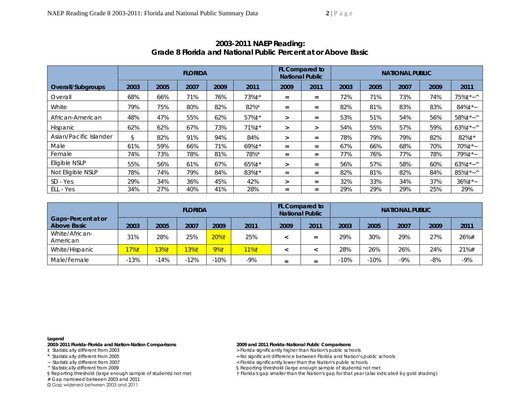|                        | <b>FLORIDA</b> |      |      |      |                  |                   | FL Compared to<br><b>National Public</b> | <b>NATIONAL PUBLIC</b> |      |      |      |                         |  |
|------------------------|----------------|------|------|------|------------------|-------------------|------------------------------------------|------------------------|------|------|------|-------------------------|--|
| Overall/Subgroups      | 2003           | 2005 | 2007 | 2009 | 2011             | 2009              | 2011                                     | 2003                   | 2005 | 2007 | 2009 | 2011                    |  |
| Overall                | 68%            | 66%  | 71%  | 76%  | 73%‡*            | $=$               | $=$                                      | 72%                    | 71%  | 73%  | 74%  | 75%‡*~^                 |  |
| White                  | 79%            | 75%  | 80%  | 82%  | 82%*             | $\qquad \qquad =$ | $=$                                      | 82%                    | 81%  | 83%  | 83%  | $84\%$ <sup>*</sup> ~   |  |
| African-American       | 48%            | 47%  | 55%  | 62%  | 57%‡*            | ⋗                 | $=$                                      | 53%                    | 51%  | 54%  | 56%  | 58%‡*~^                 |  |
| Hispanic               | 62%            | 62%  | 67%  | 73%  | 71% $\ddagger$ * | ⋗                 | $\geq$                                   | 54%                    | 55%  | 57%  | 59%  | $63\%$ ‡*~^             |  |
| Asian/Pacific Islander | S              | 82%  | 91%  | 94%  | 84%              | $\geq$            | $=$                                      | 78%                    | 79%  | 79%  | 82%  | 82%‡*                   |  |
| Male                   | 61%            | 59%  | 66%  | 71%  | 69%‡*            | $=$               | $=$                                      | 67%                    | 66%  | 68%  | 70%  | 70% $\ddagger$ *~       |  |
| Female                 | 74%            | 73%  | 78%  | 81%  | 78%*             | $=$               | $=$                                      | 77%                    | 76%  | 77%  | 78%  | 79%‡*~                  |  |
| Eligible NSLP          | 55%            | 56%  | 61%  | 67%  | 65%‡*            | >                 | $=$                                      | 56%                    | 57%  | 58%  | 60%  | $63\%$ $\ddagger$ * ~ ^ |  |
| Not Eligible NSLP      | 78%            | 74%  | 79%  | 84%  | 83%‡*            | $\qquad \qquad =$ | $=$                                      | 82%                    | 81%  | 82%  | 84%  | 85%‡*~^                 |  |
| SD - Yes               | 29%            | 34%  | 36%  | 45%  | 42%              | $\geq$            | $=$                                      | 32%                    | 33%  | 34%  | 37%  | $36\%$ ‡*~              |  |
| ELL - Yes              | 34%            | 27%  | 40%  | 41%  | 28%              | $\qquad \qquad =$ | $=$                                      | 29%                    | 29%  | 29%  | 25%  | 29%                     |  |

## **2003-2011 NAEP Reading: Grade 8 Florida and National Public Percent at or Above** *Basic*

|                                          |        |         | <b>FLORIDA</b> |        |      |      | <b>FL Compared to</b><br><b>National Public</b> | <b>NATIONAL PUBLIC</b> |        |       |       |       |  |
|------------------------------------------|--------|---------|----------------|--------|------|------|-------------------------------------------------|------------------------|--------|-------|-------|-------|--|
| Gaps-Percent at or<br><b>Above Basic</b> | 2003   | 2005    | 2007           | 2009   | 2011 | 2009 | 2011                                            | 2003                   | 2005   | 2007  | 2009  | 2011  |  |
| White/African-<br>American               | 31%    | 28%     | 25%            | 20%†   | 25%  |      | $=$                                             | 29%                    | 30%    | 29%   | 27%   | 26%#  |  |
| White/Hispanic                           | 17%1   | $13%$ † | 13%1           | 9%1    | 11%1 |      |                                                 | 28%                    | 26%    | 26%   | 24%   | 21%#  |  |
| Male/Female                              | $-13%$ | $-14%$  | $-12%$         | $-10%$ | -9%  | $=$  | $=$                                             | $-10%$                 | $-10%$ | $-9%$ | $-8%$ | $-9%$ |  |

### **Legend**

**2003-2011 Florida-Florida and Nation-Nation Comparisons 2009 and 2011 Florida-National Public Comparisons** 

# Gap narrowed between 2003 and 2011

Ω Gap widened between 2003 and 2011

> Florida significantly higher than Nation's public schools

- \* Statistically different from 2005 <br>
Statistically different from 2007 <br>
Statistically different from 2007 <br>
Statistically different from 2007 <br>
Statistically different from 2007 <br>
Statistically different from 2007 <br>
Stat
	-
- ~ Statistically different from 2007<br>
^ Statistically different from 2009<br>
^ Statistically different from 2009<br>
or Statistically different from 2009<br>
or Statistically different from 2009<br>
or Statistically different from 200 § Reporting threshold (large enough sample of students) not met

§ Reporting threshold (large enough sample of students) not met than the Florida's gap smaller than the Nation's gap for that year (also indicated by gold shading)